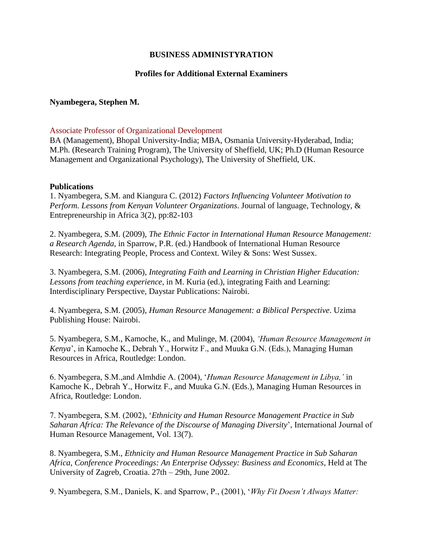## **BUSINESS ADMINISTYRATION**

### **Profiles for Additional External Examiners**

#### **[Nyambegera, Stephen M.](http://www.usiu.ac.ke/index.php?page=430)**

#### Associate Professor of Organizational Development

BA (Management), Bhopal University-India; MBA, Osmania University-Hyderabad, India; M.Ph. (Research Training Program), The University of Sheffield, UK; Ph.D (Human Resource Management and Organizational Psychology), The University of Sheffield, UK.

#### **Publications**

1. Nyambegera, S.M. and Kiangura C. (2012) *Factors Influencing Volunteer Motivation to Perform. Lessons from Kenyan Volunteer Organizations*. Journal of language, Technology, & Entrepreneurship in Africa 3(2), pp:82-103

2. Nyambegera, S.M. (2009), *The Ethnic Factor in International Human Resource Management: a Research Agenda*, in Sparrow, P.R. (ed.) Handbook of International Human Resource Research: Integrating People, Process and Context. Wiley & Sons: West Sussex.

3. Nyambegera, S.M. (2006), *Integrating Faith and Learning in Christian Higher Education: Lessons from teaching experience*, in M. Kuria (ed.), integrating Faith and Learning: Interdisciplinary Perspective, Daystar Publications: Nairobi.

4. Nyambegera, S.M. (2005), *Human Resource Management: a Biblical Perspective*. Uzima Publishing House: Nairobi.

5. Nyambegera, S.M., Kamoche, K., and Mulinge, M. (2004), *'Human Resource Management in Kenya*', in Kamoche K., Debrah Y., Horwitz F., and Muuka G.N. (Eds.), Managing Human Resources in Africa, Routledge: London.

6. Nyambegera, S.M.,and Almhdie A. (2004), '*Human Resource Management in Libya,'* in Kamoche K., Debrah Y., Horwitz F., and Muuka G.N. (Eds.), Managing Human Resources in Africa, Routledge: London.

7. Nyambegera, S.M. (2002), '*Ethnicity and Human Resource Management Practice in Sub Saharan Africa: The Relevance of the Discourse of Managing Diversity*', International Journal of Human Resource Management, Vol. 13(7).

8. Nyambegera, S.M., *Ethnicity and Human Resource Management Practice in Sub Saharan Africa, Conference Proceedings: An Enterprise Odyssey: Business and Economics*, Held at The University of Zagreb, Croatia. 27th – 29th, June 2002.

9. Nyambegera, S.M., Daniels, K. and Sparrow, P., (2001), '*Why Fit Doesn't Always Matter:*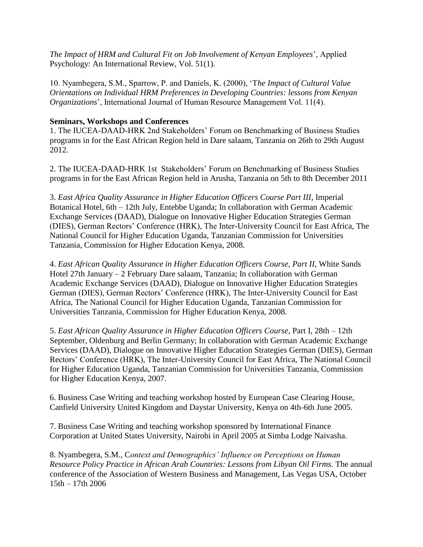*The Impact of HRM and Cultural Fit on Job Involvement of Kenyan Employees*', Applied Psychology: An International Review, Vol. 51(1).

10. Nyambegera, S.M., Sparrow, P. and Daniels, K. (2000), 'T*he Impact of Cultural Value Orientations on Individual HRM Preferences in Developing Countries: lessons from Kenyan Organizations*', International Journal of Human Resource Management Vol. 11(4).

## **Seminars, Workshops and Conferences**

1. The IUCEA-DAAD-HRK 2nd Stakeholders' Forum on Benchmarking of Business Studies programs in for the East African Region held in Dare salaam, Tanzania on 26th to 29th August 2012.

2. The IUCEA-DAAD-HRK 1st Stakeholders' Forum on Benchmarking of Business Studies programs in for the East African Region held in Arusha, Tanzania on 5th to 8th December 2011

3. *East Africa Quality Assurance in Higher Education Officers Course Part III*, Imperial Botanical Hotel, 6th – 12th July, Entebbe Uganda; In collaboration with German Academic Exchange Services (DAAD), Dialogue on Innovative Higher Education Strategies German (DIES), German Rectors' Conference (HRK), The Inter-University Council for East Africa, The National Council for Higher Education Uganda, Tanzanian Commission for Universities Tanzania, Commission for Higher Education Kenya, 2008.

4. *East African Quality Assurance in Higher Education Officers Course, Part II*, White Sands Hotel 27th January – 2 February Dare salaam, Tanzania; In collaboration with German Academic Exchange Services (DAAD), Dialogue on Innovative Higher Education Strategies German (DIES), German Rectors' Conference (HRK), The Inter-University Council for East Africa, The National Council for Higher Education Uganda, Tanzanian Commission for Universities Tanzania, Commission for Higher Education Kenya, 2008.

5. *East African Quality Assurance in Higher Education Officers Course*, Part I, 28th – 12th September, Oldenburg and Berlin Germany; In collaboration with German Academic Exchange Services (DAAD), Dialogue on Innovative Higher Education Strategies German (DIES), German Rectors' Conference (HRK), The Inter-University Council for East Africa, The National Council for Higher Education Uganda, Tanzanian Commission for Universities Tanzania, Commission for Higher Education Kenya, 2007.

6. Business Case Writing and teaching workshop hosted by European Case Clearing House, Canfield University United Kingdom and Daystar University, Kenya on 4th-6th June 2005.

7. Business Case Writing and teaching workshop sponsored by International Finance Corporation at United States University, Nairobi in April 2005 at Simba Lodge Naivasha.

8. Nyambegera, S.M., C*ontext and Demographics' Influence on Perceptions on Human Resource Policy Practice in African Arab Countries: Lessons from Libyan Oil Firms.* The annual conference of the Association of Western Business and Management, Las Vegas USA, October 15th – 17th 2006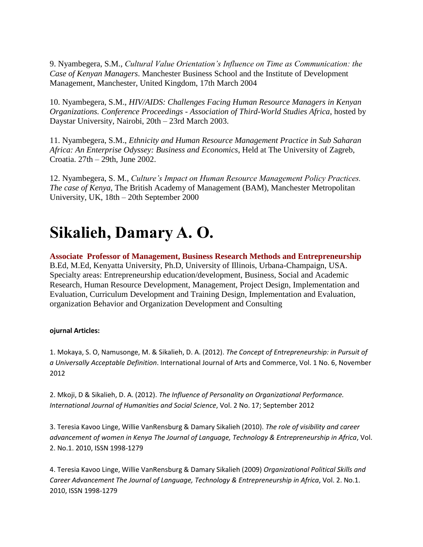9. Nyambegera, S.M., *Cultural Value Orientation's Influence on Time as Communication: the Case of Kenyan Managers*. Manchester Business School and the Institute of Development Management, Manchester, United Kingdom, 17th March 2004

10. Nyambegera, S.M., *HIV/AIDS: Challenges Facing Human Resource Managers in Kenyan Organizations. Conference Proceedings - Association of Third-World Studies Africa*, hosted by Daystar University, Nairobi, 20th – 23rd March 2003.

11. Nyambegera, S.M., *Ethnicity and Human Resource Management Practice in Sub Saharan Africa: An Enterprise Odyssey: Business and Economics*, Held at The University of Zagreb, Croatia. 27th – 29th, June 2002.

12. Nyambegera, S. M., *Culture's Impact on Human Resource Management Policy Practices. The case of Kenya*, The British Academy of Management (BAM), Manchester Metropolitan University, UK, 18th – 20th September 2000

# **Sikalieh, Damary A. O.**

**Associate Professor of Management, Business Research Methods and Entrepreneurship** B.Ed, M.Ed, Kenyatta University, Ph.D, University of Illinois, Urbana-Champaign, USA. Specialty areas: Entrepreneurship education/development, Business, Social and Academic Research, Human Resource Development, Management, Project Design, Implementation and Evaluation, Curriculum Development and Training Design, Implementation and Evaluation, organization Behavior and Organization Development and Consulting

#### **ojurnal Articles:**

1. Mokaya, S. O, Namusonge, M. & Sikalieh, D. A. (2012). *The Concept of Entrepreneurship: in Pursuit of a Universally Acceptable Definition*. International Journal of Arts and Commerce, Vol. 1 No. 6, November 2012

2. Mkoji, D & Sikalieh, D. A. (2012). *The Influence of Personality on Organizational Performance. International Journal of Humanities and Social Science*, Vol. 2 No. 17; September 2012

3. Teresia Kavoo Linge, Willie VanRensburg & Damary Sikalieh (2010). *The role of visibility and career advancement of women in Kenya The Journal of Language, Technology & Entrepreneurship in Africa*, Vol. 2. No.1. 2010, ISSN 1998-1279

4. Teresia Kavoo Linge, Willie VanRensburg & Damary Sikalieh (2009) *Organizational Political Skills and Career Advancement The Journal of Language, Technology & Entrepreneurship in Africa*, Vol. 2. No.1. 2010, ISSN 1998-1279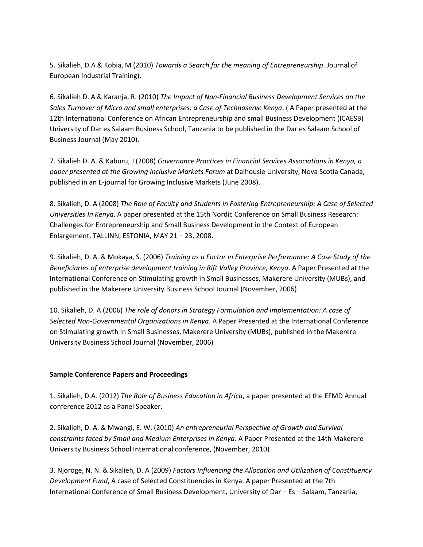5. Sikalieh, D.A & Kobia, M (2010) *Towards a Search for the meaning of Entrepreneurship*. Journal of European Industrial Training).

6. Sikalieh D. A & Karanja, R. (2010) *The Impact of Non-Financial Business Development Services on the Sales Turnover of Micro and small enterprises: a Case of Technoserve Kenya*. ( A Paper presented at the 12th International Conference on African Entrepreneurship and small Business Development (ICAESB) University of Dar es Salaam Business School, Tanzania to be published in the Dar es Salaam School of Business Journal (May 2010).

7. Sikalieh D. A. & Kaburu, J (2008) *Governance Practices in Financial Services Associations in Kenya, a paper presented at the Growing Inclusive Markets Forum* at Dalhousie University, Nova Scotia Canada, published in an E-journal for Growing Inclusive Markets (June 2008).

8. Sikalieh, D. A (2008) *The Role of Faculty and Students in Fostering Entrepreneurship: A Case of Selected Universities In Kenya*. A paper presented at the 15th Nordic Conference on Small Business Research: Challenges for Entrepreneurship and Small Business Development in the Context of European Enlargement, TALLINN, ESTONIA, MAY 21 – 23, 2008.

9. Sikalieh, D. A. & Mokaya, S. (2006) *Training as a Factor in Enterprise Performance: A Case Study of the Beneficiaries of enterprise development training in Rift Valley Province, Kenya*. A Paper Presented at the International Conference on Stimulating growth in Small Businesses, Makerere University (MUBs), and published in the Makerere University Business School Journal (November, 2006)

10. Sikalieh, D. A (2006) *The role of donors in Strategy Formulation and Implementation: A case of Selected Non-Governmental Organizations in Kenya*. A Paper Presented at the International Conference on Stimulating growth in Small Businesses, Makerere University (MUBs), published in the Makerere University Business School Journal (November, 2006)

#### **Sample Conference Papers and Proceedings**

1. Sikalieh, D.A. (2012) *The Role of Business Education in Africa*, a paper presented at the EFMD Annual conference 2012 as a Panel Speaker.

2. Sikalieh, D. A. & Mwangi, E. W. (2010) *An entrepreneurial Perspective of Growth and Survival constraints faced by Small and Medium Enterprises in Kenya*. A Paper Presented at the 14th Makerere University Business School International conference, (November, 2010)

3. Njoroge, N. N. & Sikalieh, D. A (2009) *Factors Influencing the Allocation and Utilization of Constituency Development Fund*, A case of Selected Constituencies in Kenya. A paper Presented at the 7th International Conference of Small Business Development, University of Dar – Es – Salaam, Tanzania,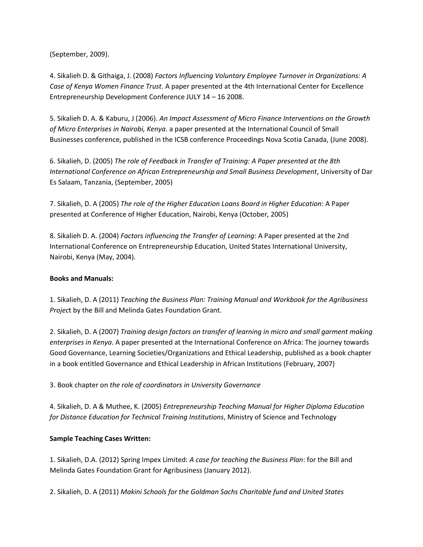(September, 2009).

4. Sikalieh D. & Githaiga, J. (2008) *Factors Influencing Voluntary Employee Turnover in Organizations: A Case of Kenya Women Finance Trust*. A paper presented at the 4th International Center for Excellence Entrepreneurship Development Conference JULY 14 – 16 2008.

5. Sikalieh D. A. & Kaburu, J (2006). *An Impact Assessment of Micro Finance Interventions on the Growth of Micro Enterprises in Nairobi, Kenya*. a paper presented at the International Council of Small Businesses conference, published in the ICSB conference Proceedings Nova Scotia Canada, (June 2008).

6. Sikalieh, D. (2005) *The role of Feedback in Transfer of Training: A Paper presented at the 8th International Conference on African Entrepreneurship and Small Business Development*, University of Dar Es Salaam, Tanzania, (September, 2005)

7. Sikalieh, D. A (2005) *The role of the Higher Education Loans Board in Higher Education*: A Paper presented at Conference of Higher Education, Nairobi, Kenya (October, 2005)

8. Sikalieh D. A. (2004) *Factors influencing the Transfer of Learning*: A Paper presented at the 2nd International Conference on Entrepreneurship Education, United States International University, Nairobi, Kenya (May, 2004).

#### **Books and Manuals:**

1. Sikalieh, D. A (2011) *Teaching the Business Plan: Training Manual and Workbook for the Agribusiness Projec*t by the Bill and Melinda Gates Foundation Grant.

2. Sikalieh, D. A (2007) *Training design factors on transfer of learning in micro and small garment making enterprises in Kenya*. A paper presented at the International Conference on Africa: The journey towards Good Governance, Learning Societies/Organizations and Ethical Leadership, published as a book chapter in a book entitled Governance and Ethical Leadership in African Institutions (February, 2007)

3. Book chapter on *the role of coordinators in University Governance* 

4. Sikalieh, D. A & Muthee, K. (2005) *Entrepreneurship Teaching Manual for Higher Diploma Education for Distance Education for Technical Training Institutions*, Ministry of Science and Technology

#### **Sample Teaching Cases Written:**

1. Sikalieh, D.A. (2012) Spring Impex Limited: *A case for teaching the Business Plan*: for the Bill and Melinda Gates Foundation Grant for Agribusiness (January 2012).

2. Sikalieh, D. A (2011) *Makini Schools for the Goldman Sachs Charitable fund and United States*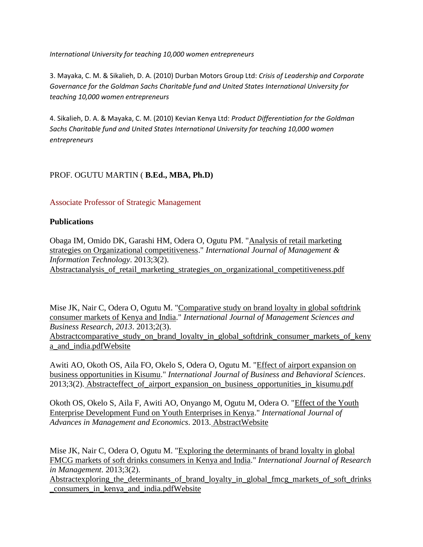*International University for teaching 10,000 women entrepreneurs* 

3. Mayaka, C. M. & Sikalieh, D. A. (2010) Durban Motors Group Ltd: *Crisis of Leadership and Corporate Governance for the Goldman Sachs Charitable fund and United States International University for teaching 10,000 women entrepreneurs* 

4. Sikalieh, D. A. & Mayaka, C. M. (2010) Kevian Kenya Ltd: *Product Differentiation for the Goldman Sachs Charitable fund and United States International University for teaching 10,000 women entrepreneurs*

## PROF. OGUTU MARTIN ( **B.Ed., MBA, Ph.D)**

## Associate Professor of Strategic Management

## **Publications**

Obaga IM, Omido DK, Garashi HM, Odera O, Ogutu PM. ["Analysis of retail marketing](https://profiles.uonbi.ac.ke/ogutum/publications/analysis-retail-marketing-strategies-organizational-competitiveness)  [strategies on Organizational competitiveness.](https://profiles.uonbi.ac.ke/ogutum/publications/analysis-retail-marketing-strategies-organizational-competitiveness)" *International Journal of Management & Information Technology*. 2013;3(2)[.](https://profiles.uonbi.ac.ke/ogutum/publications/analysis-retail-marketing-strategies-organizational-competitiveness) [Abstract](https://profiles.uonbi.ac.ke/ogutum/publications/analysis-retail-marketing-strategies-organizational-competitiveness)[analysis\\_of\\_retail\\_marketing\\_strategies\\_on\\_organizational\\_competitiveness.pdf](https://profiles.uonbi.ac.ke/ogutum/files/analysis_of_retail_marketing_strategies_on_organizational_competitiveness.pdf)

Mise JK, Nair C, Odera O, Ogutu M. ["Comparative study on brand loyalty in global softdrink](https://profiles.uonbi.ac.ke/ogutum/publications/comparative-study-brand-loyalty-global-softdrink-consumer-markets-kenya-and-indi)  [consumer markets of Kenya and India.](https://profiles.uonbi.ac.ke/ogutum/publications/comparative-study-brand-loyalty-global-softdrink-consumer-markets-kenya-and-indi)" *International Journal of Management Sciences and Business Research, 2013*. 2013;2(3)[.](https://profiles.uonbi.ac.ke/ogutum/publications/comparative-study-brand-loyalty-global-softdrink-consumer-markets-kenya-and-indi)

[Abstract](https://profiles.uonbi.ac.ke/ogutum/publications/comparative-study-brand-loyalty-global-softdrink-consumer-markets-kenya-and-indi)[comparative\\_study\\_on\\_brand\\_loyalty\\_in\\_global\\_softdrink\\_consumer\\_markets\\_of\\_keny](https://profiles.uonbi.ac.ke/ogutum/files/comparative_study_on_brand_loyalty_in_global_softdrink_consumer_markets_of_kenya_and_india.pdf) [a\\_and\\_india.pdf](https://profiles.uonbi.ac.ke/ogutum/files/comparative_study_on_brand_loyalty_in_global_softdrink_consumer_markets_of_kenya_and_india.pdf)[Website](http://www.ijmsbr.com/)

Awiti AO, Okoth OS, Aila FO, Okelo S, Odera O, Ogutu M. ["Effect of airport expansion on](https://profiles.uonbi.ac.ke/ogutum/publications/effect-airport-expansion-business-opportunities-kisumu)  [business opportunities in Kisumu.](https://profiles.uonbi.ac.ke/ogutum/publications/effect-airport-expansion-business-opportunities-kisumu)" *International Journal of Business and Behavioral Sciences*. 2013;3(2). [Abstracteffect\\_of\\_airport\\_expansion\\_on\\_business\\_opportunities\\_in\\_kisumu.pdf](https://profiles.uonbi.ac.ke/ogutum/publications/effect-airport-expansion-business-opportunities-kisumu)

Okoth OS, Okelo S, Aila F, Awiti AO, Onyango M, Ogutu M, Odera O. ["Effect of the Youth](https://profiles.uonbi.ac.ke/ogutum/publications/effect-youth-enterprise-development-fund-youth-enterprises-kenya)  [Enterprise Development Fund on Youth Enterprises in Kenya.](https://profiles.uonbi.ac.ke/ogutum/publications/effect-youth-enterprise-development-fund-youth-enterprises-kenya)" *International Journal of Advances in Management and Economics*. 2013. [AbstractWebsite](https://profiles.uonbi.ac.ke/ogutum/publications/effect-youth-enterprise-development-fund-youth-enterprises-kenya)

Mise JK, Nair C, Odera O, Ogutu M. ["Exploring the determinants of brand loyalty in global](https://profiles.uonbi.ac.ke/ogutum/publications/exploring-determinants-brand-loyalty-global-fmcg-markets-soft-drinks-consumers-k)  [FMCG markets of soft drinks consumers in Kenya and India.](https://profiles.uonbi.ac.ke/ogutum/publications/exploring-determinants-brand-loyalty-global-fmcg-markets-soft-drinks-consumers-k)" *International Journal of Research in Management*. 2013;3(2)[.](https://profiles.uonbi.ac.ke/ogutum/publications/exploring-determinants-brand-loyalty-global-fmcg-markets-soft-drinks-consumers-k)

[Abstract](https://profiles.uonbi.ac.ke/ogutum/publications/exploring-determinants-brand-loyalty-global-fmcg-markets-soft-drinks-consumers-k)[exploring\\_the\\_determinants\\_of\\_brand\\_loyalty\\_in\\_global\\_fmcg\\_markets\\_of\\_soft\\_drinks](https://profiles.uonbi.ac.ke/ogutum/files/exploring_the_determinants_of_brand_loyalty_in_global_fmcg_markets_of_soft_drinks_consumers_in_kenya_and_india.pdf) [\\_consumers\\_in\\_kenya\\_and\\_india.pdf](https://profiles.uonbi.ac.ke/ogutum/files/exploring_the_determinants_of_brand_loyalty_in_global_fmcg_markets_of_soft_drinks_consumers_in_kenya_and_india.pdf)[Website](http://www.rspublication.com/ijrm/ijrm_index.htm)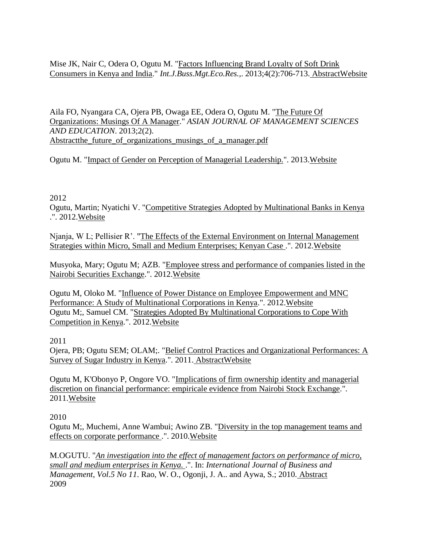Mise JK, Nair C, Odera O, Ogutu M. ["Factors Influencing Brand Loyalty of Soft Drink](https://profiles.uonbi.ac.ke/ogutum/publications/factors-influencing-brand-loyalty-soft-drink-consumers-kenya-and-india)  [Consumers in Kenya and India.](https://profiles.uonbi.ac.ke/ogutum/publications/factors-influencing-brand-loyalty-soft-drink-consumers-kenya-and-india)" *Int.J.Buss.Mgt.Eco.Res.,*. 2013;4(2):706-713. [AbstractWebsite](https://profiles.uonbi.ac.ke/ogutum/publications/factors-influencing-brand-loyalty-soft-drink-consumers-kenya-and-india)

Aila FO, Nyangara CA, Ojera PB, Owaga EE, Odera O, Ogutu M. ["The Future Of](https://profiles.uonbi.ac.ke/ogutum/publications/future-organizations-musings-manager)  [Organizations: Musings Of A Manager.](https://profiles.uonbi.ac.ke/ogutum/publications/future-organizations-musings-manager)" *ASIAN JOURNAL OF MANAGEMENT SCIENCES AND EDUCATION*. 2013;2(2)[.](https://profiles.uonbi.ac.ke/ogutum/publications/future-organizations-musings-manager) [Abstract](https://profiles.uonbi.ac.ke/ogutum/publications/future-organizations-musings-manager)[the\\_future\\_of\\_organizations\\_musings\\_of\\_a\\_manager.pdf](https://profiles.uonbi.ac.ke/ogutum/files/the_future_of_organizations_musings_of_a_manager.pdf)

Ogutu M. ["Impact of Gender on Perception of Managerial Leadership."](https://profiles.uonbi.ac.ke/ogutum/publications/impact-gender-perception-managerial-leadership-0). 2013[.Website](http://erepository.uonbi.ac.ke/handle/123456789/25549)

## 2012

Ogutu, Martin; Nyatichi V. ["Competitive Strategies Adopted by Multinational Banks in Kenya](https://profiles.uonbi.ac.ke/ogutum/publications/competitive-strategies-adopted-multinational-banks-kenya)  .". 2012[.Website](http://erepository.uonbi.ac.ke/handle/123456789/9815)

Njanja, W L; Pellisier R'. ["The Effects of the External Environment on Internal Management](https://profiles.uonbi.ac.ke/ogutum/publications/effects-external-environment-internal-management-strategies-within-micro-small-a)  [Strategies within Micro, Small and Medium Enterprises; Kenyan Case .](https://profiles.uonbi.ac.ke/ogutum/publications/effects-external-environment-internal-management-strategies-within-micro-small-a)". 2012[.Website](http://erepository.uonbi.ac.ke/handle/123456789/39488)

Musyoka, Mary; Ogutu M; AZB. ["Employee stress and performance of companies listed in the](https://profiles.uonbi.ac.ke/ogutum/publications/employee-stress-and-performance-companies-listed-nairobi-securities-exchange)  [Nairobi Securities Exchange.](https://profiles.uonbi.ac.ke/ogutum/publications/employee-stress-and-performance-companies-listed-nairobi-securities-exchange)". 2012[.Website](http://erepository.uonbi.ac.ke/handle/123456789/15393)

Ogutu M, Oloko M. ["Influence of Power Distance on Employee Empowerment and MNC](https://profiles.uonbi.ac.ke/ogutum/publications/influence-power-distance-employee-empowerment-and-mnc-performance-study-multinat)  [Performance: A Study of Multinational Corporations in Kenya.](https://profiles.uonbi.ac.ke/ogutum/publications/influence-power-distance-employee-empowerment-and-mnc-performance-study-multinat)". 2012[.Website](http://erepository.uonbi.ac.ke/handle/123456789/39457) Ogutu M;, Samuel CM. ["Strategies Adopted By Multinational Corporations to Cope With](https://profiles.uonbi.ac.ke/ogutum/publications/strategies-adopted-multinational-corporations-cope-competition-kenya)  [Competition in Kenya.](https://profiles.uonbi.ac.ke/ogutum/publications/strategies-adopted-multinational-corporations-cope-competition-kenya)". 2012[.Website](http://erepository.uonbi.ac.ke/handle/123456789/13910)

## 2011

Ojera, PB; Ogutu SEM; OLAM;. ["Belief Control Practices and Organizational Performances: A](https://profiles.uonbi.ac.ke/ogutum/publications/belief-control-practices-and-organizational-performances-survey-sugar-industry-k)  [Survey of Sugar Industry in Kenya.](https://profiles.uonbi.ac.ke/ogutum/publications/belief-control-practices-and-organizational-performances-survey-sugar-industry-k)". 2011. [AbstractWebsite](https://profiles.uonbi.ac.ke/ogutum/publications/belief-control-practices-and-organizational-performances-survey-sugar-industry-k)

Ogutu M, K'Obonyo P, Ongore VO. ["Implications of firm ownership identity and managerial](https://profiles.uonbi.ac.ke/ogutum/publications/implications-firm-ownership-identity-and-managerial-discretion-financial-perform)  [discretion on financial performance: empiricale evidence from Nairobi Stock Exchange.](https://profiles.uonbi.ac.ke/ogutum/publications/implications-firm-ownership-identity-and-managerial-discretion-financial-perform)". 2011[.Website](http://erepository.uonbi.ac.ke/handle/123456789/19507)

## 2010

Ogutu M;, Muchemi, Anne Wambui; Awino ZB. ["Diversity in the top management teams and](https://profiles.uonbi.ac.ke/ogutum/publications/diversity-top-management-teams-and-effects-corporate-performance)  [effects on corporate performance .](https://profiles.uonbi.ac.ke/ogutum/publications/diversity-top-management-teams-and-effects-corporate-performance)". 2010[.Website](http://erepository.uonbi.ac.ke/handle/123456789/39470)

M.OGUTU. "*[An investigation into the effect of management factors on performance of micro,](https://profiles.uonbi.ac.ke/ogutum/publications/investigation-effect-management-factors-performance-micro-small-and-medium-enter)  [small and medium enterprises in Kenya.](https://profiles.uonbi.ac.ke/ogutum/publications/investigation-effect-management-factors-performance-micro-small-and-medium-enter)* .". In: *International Journal of Business and Management, Vol.5 No 11*. Rao, W. O., Ogonji, J. A.. and Aywa, S.; 2010. [Abstract](https://profiles.uonbi.ac.ke/ogutum/publications/investigation-effect-management-factors-performance-micro-small-and-medium-enter) 2009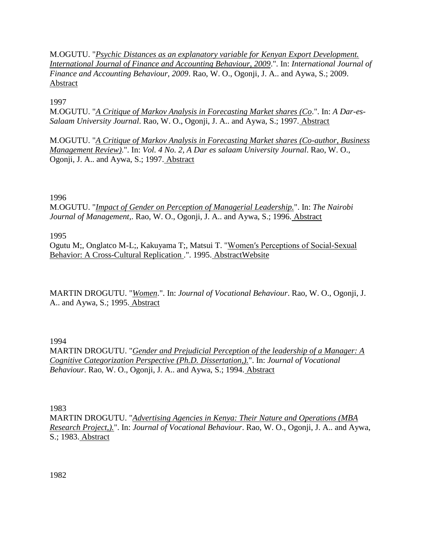M.OGUTU. "*[Psychic Distances as an explanatory variable for Kenyan Export Development.](https://profiles.uonbi.ac.ke/ogutum/publications/psychic-distances-explanatory-variable-kenyan-export-development-international-j)  [International Journal of Finance and Accounting Behaviour, 2009](https://profiles.uonbi.ac.ke/ogutum/publications/psychic-distances-explanatory-variable-kenyan-export-development-international-j)*.". In: *International Journal of Finance and Accounting Behaviour, 2009*. Rao, W. O., Ogonji, J. A.. and Aywa, S.; 2009[.](https://profiles.uonbi.ac.ke/ogutum/publications/psychic-distances-explanatory-variable-kenyan-export-development-international-j) [Abstract](https://profiles.uonbi.ac.ke/ogutum/publications/psychic-distances-explanatory-variable-kenyan-export-development-international-j)

## 1997

M.OGUTU. "*[A Critique of Markov Analysis in Forecasting Market shares \(Co](https://profiles.uonbi.ac.ke/ogutum/publications/critique-markov-analysis-forecasting-market-shares-co)*.". In: *A Dar-es-Salaam University Journal*. Rao, W. O., Ogonji, J. A.. and Aywa, S.; 1997. [Abstract](https://profiles.uonbi.ac.ke/ogutum/publications/critique-markov-analysis-forecasting-market-shares-co)

M.OGUTU. "*[A Critique of Markov Analysis in Forecasting Market shares \(Co-author, Business](https://profiles.uonbi.ac.ke/ogutum/publications/critique-markov-analysis-forecasting-market-shares-co-author-business-management)  [Management Review\)](https://profiles.uonbi.ac.ke/ogutum/publications/critique-markov-analysis-forecasting-market-shares-co-author-business-management)*.". In: *Vol. 4 No. 2, A Dar es salaam University Journal*. Rao, W. O., Ogonji, J. A.. and Aywa, S.; 1997. [Abstract](https://profiles.uonbi.ac.ke/ogutum/publications/critique-markov-analysis-forecasting-market-shares-co-author-business-management)

## 1996

M.OGUTU. "*[Impact of Gender on Perception of Managerial Leadership.](https://profiles.uonbi.ac.ke/ogutum/publications/impact-gender-perception-managerial-leadership)*". In: *The Nairobi Journal of Management,*. Rao, W. O., Ogonji, J. A.. and Aywa, S.; 1996. [Abstract](https://profiles.uonbi.ac.ke/ogutum/publications/impact-gender-perception-managerial-leadership)

## 1995

Ogutu M;, Onglatco M-L;, Kakuyama T;, Matsui T. ["Women′s Perceptions of Social-Sexual](https://profiles.uonbi.ac.ke/ogutum/publications/women%E2%80%B2s-perceptions-social-sexual-behavior-cross-cultural-replication)  [Behavior: A Cross-Cultural Replication .](https://profiles.uonbi.ac.ke/ogutum/publications/women%E2%80%B2s-perceptions-social-sexual-behavior-cross-cultural-replication)". 1995. [AbstractWebsite](https://profiles.uonbi.ac.ke/ogutum/publications/women%E2%80%B2s-perceptions-social-sexual-behavior-cross-cultural-replication)

MARTIN DROGUTU. "*[Women](https://profiles.uonbi.ac.ke/ogutum/publications/women)*.". In: *Journal of Vocational Behaviour*. Rao, W. O., Ogonji, J. A.. and Aywa, S.; 1995. [Abstract](https://profiles.uonbi.ac.ke/ogutum/publications/women)

1994

MARTIN DROGUTU. "*[Gender and Prejudicial Perception of the leadership of a Manager: A](https://profiles.uonbi.ac.ke/ogutum/publications/gender-and-prejudicial-perception-leadership-manager-cognitive-categorization-pe)  [Cognitive Categorization Perspective \(Ph.D. Dissertation,\).](https://profiles.uonbi.ac.ke/ogutum/publications/gender-and-prejudicial-perception-leadership-manager-cognitive-categorization-pe)*". In: *Journal of Vocational Behaviour*. Rao, W. O., Ogonji, J. A.. and Aywa, S.; 1994. [Abstract](https://profiles.uonbi.ac.ke/ogutum/publications/gender-and-prejudicial-perception-leadership-manager-cognitive-categorization-pe)

1983

MARTIN DROGUTU. "*[Advertising Agencies in Kenya: Their Nature and Operations \(MBA](https://profiles.uonbi.ac.ke/ogutum/publications/advertising-agencies-kenya-their-nature-and-operations-mba-research-project)  [Research Project,\).](https://profiles.uonbi.ac.ke/ogutum/publications/advertising-agencies-kenya-their-nature-and-operations-mba-research-project)*". In: *Journal of Vocational Behaviour*. Rao, W. O., Ogonji, J. A.. and Aywa, S.; 1983. [Abstract](https://profiles.uonbi.ac.ke/ogutum/publications/advertising-agencies-kenya-their-nature-and-operations-mba-research-project)

1982